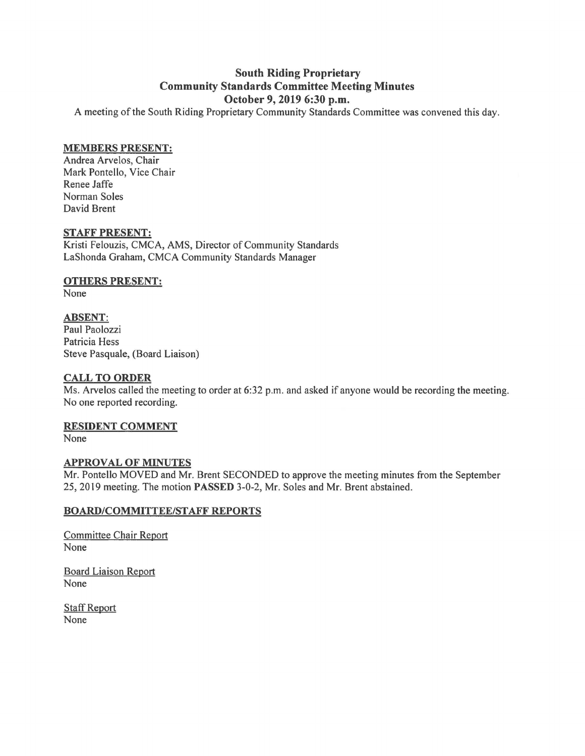# **South Riding Proprietary Community Standards Committee Meeting Minutes October 9, 2019 6:30 p.m.**

A meeting of the South Riding Proprietary Community Standards Committee was convened this day.

## **MEMBERS PRESENT:**

Andrea Arvelos, Chair Mark Pontello, Vice Chair Renee Jaffe Norman Soles David Brent

#### **STAFF PRESENT:**

Kristi Felouzis, CMCA, AMS, Director of Community Standards LaShonda Graham, CMCA Community Standards Manager

## **OTHERS PRESENT:**

None

**ABSENT:**  Paul Paolozzi Patricia Hess Steve Pasquale, (Board Liaison)

## **CALL TO ORDER**

Ms. Arvelos called the meeting to order at 6:32 p.m. and asked if anyone would be recording the meeting. No one reported recording.

## **RESIDENT COMMENT**

None

## **APPROVAL OF MINUTES**

Mr. Pontello MOVED and Mr. Brent SECONDED to approve the meeting minutes from the September 25, 2019 meeting. The motion **PASSED** 3-0-2, Mr. Soles and Mr. Brent abstained.

## **BOARD/COMMITTEE/STAFF REPORTS**

Committee Chair Report None

Board Liaison Report None

Staff Report None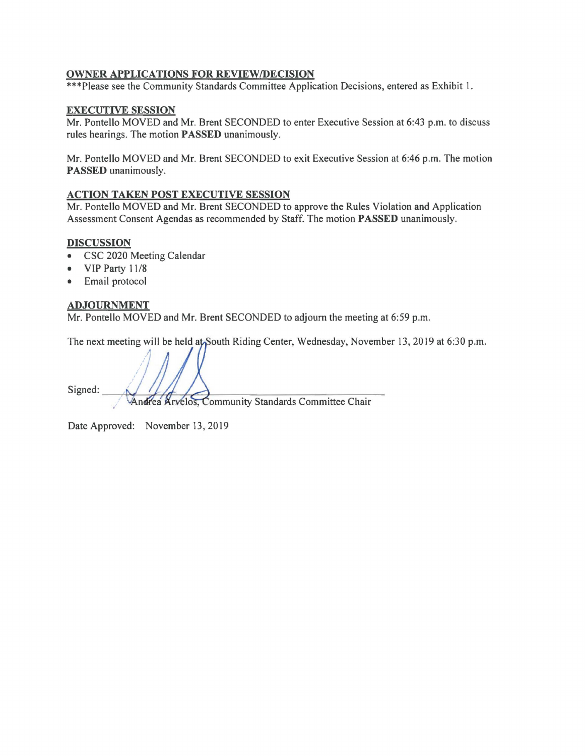# **OWNER APPLICATIONS FOR REVIEW/DECISION**

\*\*\*Please see the Community Standards Committee Application Decisions, entered as Exhibit 1.

## **EXECUTIVE SESSION**

Mr. Pontello MOVED and Mr. Brent SECONDED to enter Executive Session at 6:43 p.m. to discuss rules hearings. The motion **PASSED** unanimously.

Mr. Pontello MOVED and Mr. Brent SECONDED to exit Executive Session at 6:46 p.m. The motion **PASSED** unanimously.

## **ACTION TAKEN POST EXECUTIVE SESSION**

Mr. Pontello MOVED and Mr. Brent SECONDED to approve the Rules Violation and Application Assessment Consent Agendas as recommended by Staff. The motion **PASSED** unanimously.

## **DISCUSSION**

- CSC 2020 Meeting Calendar
- VIP Party 11/8
- Email protocol

#### **ADJOURNMENT**

Mr. Pontello MOVED and Mr. Brent SECONDED to adjourn the meeting at 6:59 p.m.

The next meeting will be held at South Riding Center, Wednesday, November 13, 2019 at 6:30 p.m.

Signed:

Andrea Arvelos, Community Standards Committee Chair

Date Approved: November 13, 2019